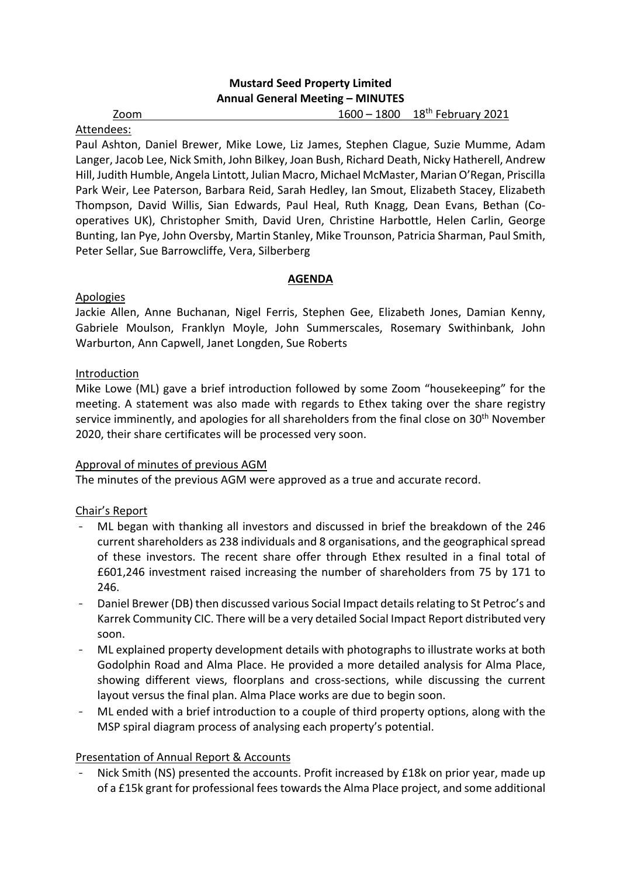# **Mustard Seed Property Limited Annual General Meeting – MINUTES**

Zoom 1600 – 1800 18th February 2021

## Attendees:

Paul Ashton, Daniel Brewer, Mike Lowe, Liz James, Stephen Clague, Suzie Mumme, Adam Langer, Jacob Lee, Nick Smith, John Bilkey, Joan Bush, Richard Death, Nicky Hatherell, Andrew Hill, Judith Humble, Angela Lintott, Julian Macro, Michael McMaster, Marian O'Regan, Priscilla Park Weir, Lee Paterson, Barbara Reid, Sarah Hedley, Ian Smout, Elizabeth Stacey, Elizabeth Thompson, David Willis, Sian Edwards, Paul Heal, Ruth Knagg, Dean Evans, Bethan (Cooperatives UK), Christopher Smith, David Uren, Christine Harbottle, Helen Carlin, George Bunting, Ian Pye, John Oversby, Martin Stanley, Mike Trounson, Patricia Sharman, Paul Smith, Peter Sellar, Sue Barrowcliffe, Vera, Silberberg

#### **AGENDA**

### Apologies

Jackie Allen, Anne Buchanan, Nigel Ferris, Stephen Gee, Elizabeth Jones, Damian Kenny, Gabriele Moulson, Franklyn Moyle, John Summerscales, Rosemary Swithinbank, John Warburton, Ann Capwell, Janet Longden, Sue Roberts

#### Introduction

Mike Lowe (ML) gave a brief introduction followed by some Zoom "housekeeping" for the meeting. A statement was also made with regards to Ethex taking over the share registry service imminently, and apologies for all shareholders from the final close on 30<sup>th</sup> November 2020, their share certificates will be processed very soon.

### Approval of minutes of previous AGM

The minutes of the previous AGM were approved as a true and accurate record.

### Chair's Report

- ML began with thanking all investors and discussed in brief the breakdown of the 246 current shareholders as 238 individuals and 8 organisations, and the geographical spread of these investors. The recent share offer through Ethex resulted in a final total of £601,246 investment raised increasing the number of shareholders from 75 by 171 to 246.
- Daniel Brewer (DB) then discussed various Social Impact details relating to St Petroc's and Karrek Community CIC. There will be a very detailed Social Impact Report distributed very soon.
- ML explained property development details with photographs to illustrate works at both Godolphin Road and Alma Place. He provided a more detailed analysis for Alma Place, showing different views, floorplans and cross-sections, while discussing the current layout versus the final plan. Alma Place works are due to begin soon.
- ML ended with a brief introduction to a couple of third property options, along with the MSP spiral diagram process of analysing each property's potential.

### Presentation of Annual Report & Accounts

Nick Smith (NS) presented the accounts. Profit increased by £18k on prior year, made up of a £15k grant for professional fees towards the Alma Place project, and some additional